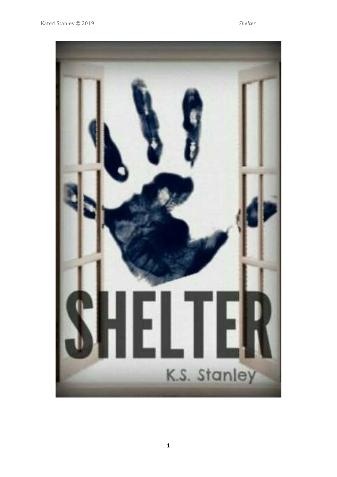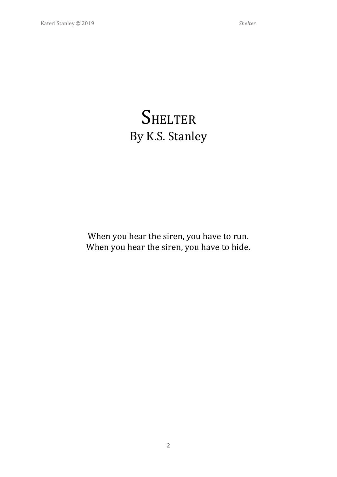# **SHELTER** By K.S. Stanley

When you hear the siren, you have to run. When you hear the siren, you have to hide.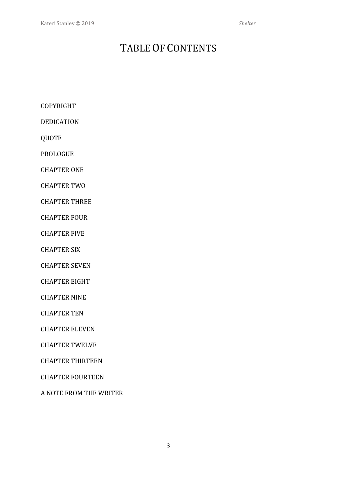### TABLE OF CONTENTS

COPYRIGHT

DEDICATION

QUOTE

PROLOGUE

CHAPTER ONE

CHAPTER TWO

CHAPTER THREE

CHAPTER FOUR

CHAPTER FIVE

CHAPTER SIX

CHAPTER SEVEN

CHAPTER EIGHT

CHAPTER NINE

CHAPTER TEN

CHAPTER ELEVEN

CHAPTER TWELVE

CHAPTER THIRTEEN

CHAPTER FOURTEEN

A NOTE FROM THE WRITER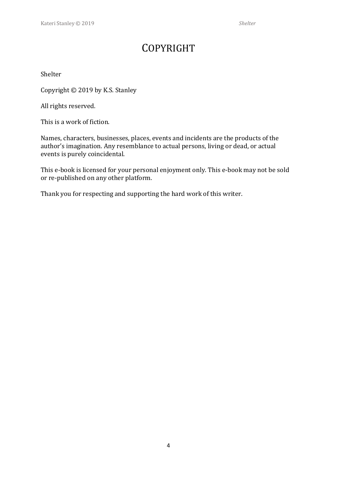### COPYRIGHT

#### Shelter

Copyright © 2019 by K.S. Stanley

All rights reserved.

This is a work of fiction.

Names, characters, businesses, places, events and incidents are the products of the author's imagination. Any resemblance to actual persons, living or dead, or actual events is purely coincidental.

This e-book is licensed for your personal enjoyment only. This e-book may not be sold or re-published on any other platform.

Thank you for respecting and supporting the hard work of this writer.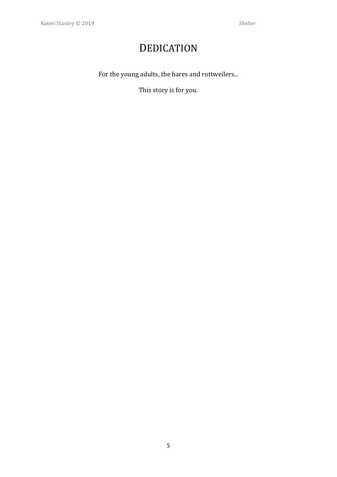## DEDICATION

For the young adults, the hares and rottweilers...

This story is for you.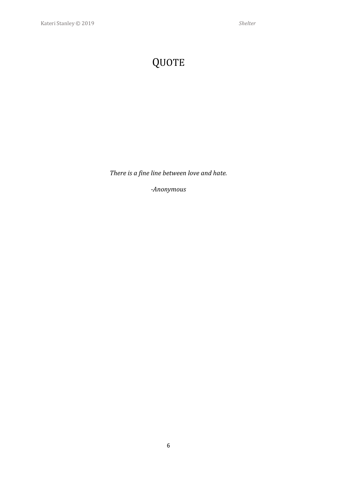# QUOTE

*There is a fine line between love and hate.*

*-Anonymous*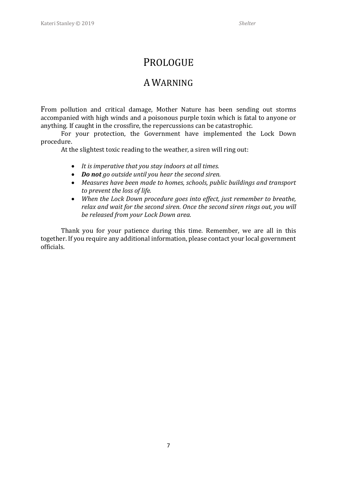#### PROLOGUE

#### AWARNING

From pollution and critical damage, Mother Nature has been sending out storms accompanied with high winds and a poisonous purple toxin which is fatal to anyone or anything. If caught in the crossfire, the repercussions can be catastrophic.

For your protection, the Government have implemented the Lock Down procedure.

At the slightest toxic reading to the weather, a siren will ring out:

- *It is imperative that you stay indoors at all times.*
- *Do not go outside until you hear the second siren.*
- *Measures have been made to homes, schools, public buildings and transport to prevent the loss of life.*
- *When the Lock Down procedure goes into effect, just remember to breathe, relax and wait for the second siren. Once the second siren rings out, you will be released from your Lock Down area.*

Thank you for your patience during this time. Remember, we are all in this together. If you require any additional information, please contact your local government officials.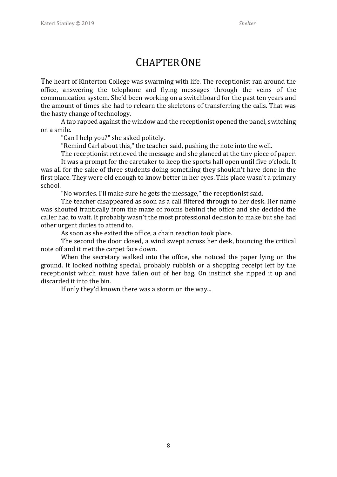#### CHAPTERONE

The heart of Kinterton College was swarming with life. The receptionist ran around the office, answering the telephone and flying messages through the veins of the communication system. She'd been working on a switchboard for the past ten years and the amount of times she had to relearn the skeletons of transferring the calls. That was the hasty change of technology.

A tap rapped against the window and the receptionist opened the panel, switching on a smile.

"Can I help you?" she asked politely.

"Remind Carl about this," the teacher said, pushing the note into the well.

The receptionist retrieved the message and she glanced at the tiny piece of paper.

It was a prompt for the caretaker to keep the sports hall open until five o'clock. It was all for the sake of three students doing something they shouldn't have done in the first place. They were old enough to know better in her eyes. This place wasn't a primary school.

"No worries. I'll make sure he gets the message," the receptionist said.

The teacher disappeared as soon as a call filtered through to her desk. Her name was shouted frantically from the maze of rooms behind the office and she decided the caller had to wait. It probably wasn't the most professional decision to make but she had other urgent duties to attend to.

As soon as she exited the office, a chain reaction took place.

The second the door closed, a wind swept across her desk, bouncing the critical note off and it met the carpet face down.

When the secretary walked into the office, she noticed the paper lying on the ground. It looked nothing special, probably rubbish or a shopping receipt left by the receptionist which must have fallen out of her bag. On instinct she ripped it up and discarded it into the bin.

If only they'd known there was a storm on the way...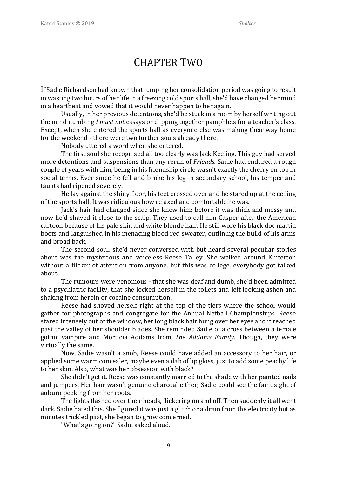#### CHAPTER TWO

If Sadie Richardson had known that jumping her consolidation period was going to result in wasting two hours of her life in a freezing cold sports hall, she'd have changed her mind in a heartbeat and vowed that it would never happen to her again.

Usually, in her previous detentions, she'd be stuck in a room by herself writing out the mind numbing *I must not* essays or clipping together pamphlets for a teacher's class. Except, when she entered the sports hall as everyone else was making their way home for the weekend - there were two further souls already there.

Nobody uttered a word when she entered.

The first soul she recognised all too clearly was Jack Keeling. This guy had served more detentions and suspensions than any rerun of *Friends.* Sadie had endured a rough couple of years with him, being in his friendship circle wasn't exactly the cherry on top in social terms. Ever since he fell and broke his leg in secondary school, his temper and taunts had ripened severely.

He lay against the shiny floor, his feet crossed over and he stared up at the ceiling of the sports hall. It was ridiculous how relaxed and comfortable he was.

Jack's hair had changed since she knew him; before it was thick and messy and now he'd shaved it close to the scalp. They used to call him Casper after the American cartoon because of his pale skin and white blonde hair. He still wore his black doc martin boots and languished in his menacing blood red sweater, outlining the build of his arms and broad back.

The second soul, she'd never conversed with but heard several peculiar stories about was the mysterious and voiceless Reese Talley. She walked around Kinterton without a flicker of attention from anyone, but this was college, everybody got talked about.

The rumours were venomous - that she was deaf and dumb, she'd been admitted to a psychiatric facility, that she locked herself in the toilets and left looking ashen and shaking from heroin or cocaine consumption.

Reese had shoved herself right at the top of the tiers where the school would gather for photographs and congregate for the Annual Netball Championships. Reese stared intensely out of the window, her long black hair hung over her eyes and it reached past the valley of her shoulder blades. She reminded Sadie of a cross between a female gothic vampire and Morticia Addams from *The Addams Family*. Though, they were virtually the same.

Now, Sadie wasn't a snob, Reese could have added an accessory to her hair, or applied some warm concealer, maybe even a dab of lip gloss, just to add some peachy life to her skin. Also, what was her obsession with black?

She didn't get it. Reese was constantly married to the shade with her painted nails and jumpers. Her hair wasn't genuine charcoal either; Sadie could see the faint sight of auburn peeking from her roots.

The lights flashed over their heads, flickering on and off. Then suddenly it all went dark. Sadie hated this. She figured it was just a glitch or a drain from the electricity but as minutes trickled past, she began to grow concerned.

"What's going on?" Sadie asked aloud.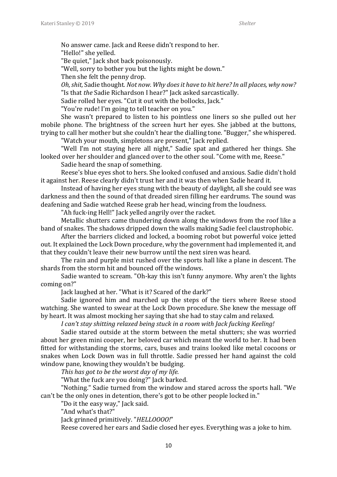No answer came. Jack and Reese didn't respond to her.

"Hello!" she yelled.

"Be quiet," Jack shot back poisonously.

"Well, sorry to bother you but the lights might be down."

Then she felt the penny drop.

*Oh, shit,* Sadie thought*. Not now. Why does it have to hit here? In all places, why now?* "Is that *the* Sadie Richardson I hear?" Jack asked sarcastically.

Sadie rolled her eyes. "Cut it out with the bollocks, Jack."

"You're rude! I'm going to tell teacher on you."

She wasn't prepared to listen to his pointless one liners so she pulled out her mobile phone. The brightness of the screen hurt her eyes. She jabbed at the buttons, trying to call her mother but she couldn't hear the dialling tone. "Bugger," she whispered.

"Watch your mouth, simpletons are present," Jack replied.

"Well I'm not staying here all night," Sadie spat and gathered her things. She looked over her shoulder and glanced over to the other soul. "Come with me, Reese."

Sadie heard the snap of something.

Reese's blue eyes shot to hers. She looked confused and anxious. Sadie didn't hold it against her. Reese clearly didn't trust her and it was then when Sadie heard it.

Instead of having her eyes stung with the beauty of daylight, all she could see was darkness and then the sound of that dreaded siren filling her eardrums. The sound was deafening and Sadie watched Reese grab her head, wincing from the loudness.

"Ah fuck-ing Hell!" Jack yelled angrily over the racket.

Metallic shutters came thundering down along the windows from the roof like a band of snakes. The shadows dripped down the walls making Sadie feel claustrophobic.

After the barriers clicked and locked, a booming robot but powerful voice jetted out. It explained the Lock Down procedure, why the government had implemented it, and that they couldn't leave their new burrow until the next siren was heard.

The rain and purple mist rushed over the sports hall like a plane in descent. The shards from the storm hit and bounced off the windows.

Sadie wanted to scream. "Oh-kay this isn't funny anymore. Why aren't the lights coming on?"

Jack laughed at her. "What is it? Scared of the dark?"

Sadie ignored him and marched up the steps of the tiers where Reese stood watching. She wanted to swear at the Lock Down procedure. She knew the message off by heart. It was almost mocking her saying that she had to stay calm and relaxed.

*I can't stay shitting relaxed being stuck in a room with Jack fucking Keeling!*

Sadie stared outside at the storm between the metal shutters; she was worried about her green mini cooper, her beloved car which meant the world to her. It had been fitted for withstanding the storms, cars, buses and trains looked like metal cocoons or snakes when Lock Down was in full throttle. Sadie pressed her hand against the cold window pane, knowing they wouldn't be budging.

*This has got to be the worst day of my life.*

"What the fuck are you doing?" Jack barked.

"Nothing." Sadie turned from the window and stared across the sports hall. "We can't be the only ones in detention, there's got to be other people locked in."

"Do it the easy way," Jack said.

"And what's that?"

Jack grinned primitively. "*HELLOOOO!*"

Reese covered her ears and Sadie closed her eyes. Everything was a joke to him.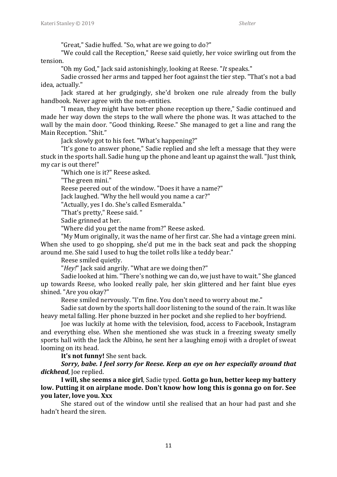"Great," Sadie huffed. "So, what are we going to do?"

"We could call the Reception," Reese said quietly, her voice swirling out from the tension.

"Oh my God," Jack said astonishingly, looking at Reese. "*It* speaks."

Sadie crossed her arms and tapped her foot against the tier step. "That's not a bad idea, actually."

Jack stared at her grudgingly, she'd broken one rule already from the bully handbook. Never agree with the non-entities.

"I mean, they might have better phone reception up there," Sadie continued and made her way down the steps to the wall where the phone was. It was attached to the wall by the main door. "Good thinking, Reese." She managed to get a line and rang the Main Reception. "Shit."

Jack slowly got to his feet. "What's happening?"

"It's gone to answer phone," Sadie replied and she left a message that they were stuck in the sports hall. Sadie hung up the phone and leant up against the wall. "Just think, my car is out there!"

"Which one is it?" Reese asked.

"The green mini."

Reese peered out of the window. "Does it have a name?"

Jack laughed. "Why the hell would you name a car?"

"Actually, yes I do. She's called Esmeralda."

"That's pretty," Reese said. "

Sadie grinned at her.

"Where did you get the name from?" Reese asked.

"My Mum originally, it was the name of her first car. She had a vintage green mini. When she used to go shopping, she'd put me in the back seat and pack the shopping around me. She said I used to hug the toilet rolls like a teddy bear."

Reese smiled quietly.

"*Hey!*" Jack said angrily. "What are we doing then?"

Sadie looked at him. "There's nothing we can do, we just have to wait." She glanced up towards Reese, who looked really pale, her skin glittered and her faint blue eyes shined. "Are you okay?"

Reese smiled nervously. "I'm fine. You don't need to worry about me."

Sadie sat down by the sports hall door listening to the sound of the rain. It was like heavy metal falling. Her phone buzzed in her pocket and she replied to her boyfriend.

Joe was luckily at home with the television, food, access to Facebook, Instagram and everything else. When she mentioned she was stuck in a freezing sweaty smelly sports hall with the Jack the Albino*,* he sent her a laughing emoji with a droplet of sweat looming on its head.

**It's not funny!** She sent back.

*Sorry, babe. I feel sorry for Reese. Keep an eye on her especially around that*  dickhead, Joe replied.

**I will, she seems a nice girl**, Sadie typed. **Gotta go hun, better keep my battery low. Putting it on airplane mode. Don't know how long this is gonna go on for. See you later, love you. Xxx**

She stared out of the window until she realised that an hour had past and she hadn't heard the siren.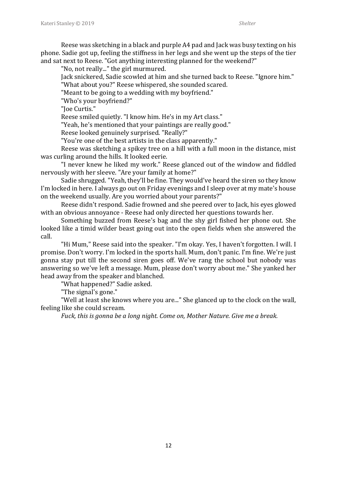Reese was sketching in a black and purple A4 pad and Jack was busy texting on his phone. Sadie got up, feeling the stiffness in her legs and she went up the steps of the tier and sat next to Reese. "Got anything interesting planned for the weekend?"

"No, not really..." the girl murmured.

Jack snickered, Sadie scowled at him and she turned back to Reese. "Ignore him." "What about you?" Reese whispered, she sounded scared.

"Meant to be going to a wedding with my boyfriend."

"Who's your boyfriend?"

"Joe Curtis."

Reese smiled quietly. "I know him. He's in my Art class."

"Yeah, he's mentioned that your paintings are really good."

Reese looked genuinely surprised. "Really?"

"You're one of the best artists in the class apparently."

Reese was sketching a spikey tree on a hill with a full moon in the distance, mist was curling around the hills. It looked eerie.

"I never knew he liked my work." Reese glanced out of the window and fiddled nervously with her sleeve. "Are your family at home?"

Sadie shrugged. "Yeah, they'll be fine. They would've heard the siren so they know I'm locked in here. I always go out on Friday evenings and I sleep over at my mate's house on the weekend usually. Are you worried about your parents?"

Reese didn't respond. Sadie frowned and she peered over to Jack, his eyes glowed with an obvious annoyance - Reese had only directed her questions towards her.

Something buzzed from Reese's bag and the shy girl fished her phone out. She looked like a timid wilder beast going out into the open fields when she answered the call.

"Hi Mum," Reese said into the speaker. "I'm okay. Yes, I haven't forgotten. I will. I promise. Don't worry. I'm locked in the sports hall. Mum, don't panic. I'm fine. We're just gonna stay put till the second siren goes off. We've rang the school but nobody was answering so we've left a message. Mum, please don't worry about me." She yanked her head away from the speaker and blanched.

"What happened?" Sadie asked.

"The signal's gone."

"Well at least she knows where you are..." She glanced up to the clock on the wall, feeling like she could scream.

*Fuck, this is gonna be a long night. Come on, Mother Nature. Give me a break.*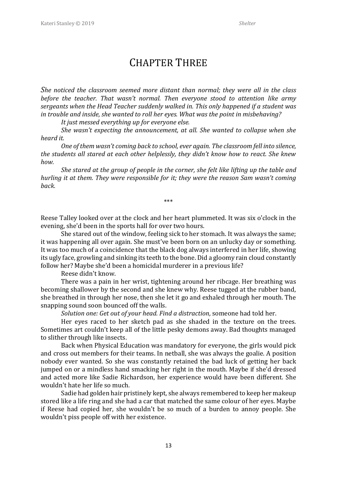#### CHAPTER THREE

*She noticed the classroom seemed more distant than normal; they were all in the class before the teacher. That wasn't normal. Then everyone stood to attention like army sergeants when the Head Teacher suddenly walked in. This only happened if a student was in trouble and inside, she wanted to roll her eyes. What was the point in misbehaving?* 

*It just messed everything up for everyone else.* 

*She wasn't expecting the announcement, at all. She wanted to collapse when she heard it.* 

*One of them wasn't coming back to school, ever again. The classroom fell into silence, the students all stared at each other helplessly, they didn't know how to react. She knew how.*

*She stared at the group of people in the corner, she felt like lifting up the table and hurling it at them. They were responsible for it; they were the reason Sam wasn't coming back.* 

\*\*\*

Reese Talley looked over at the clock and her heart plummeted. It was six o'clock in the evening, she'd been in the sports hall for over two hours.

She stared out of the window, feeling sick to her stomach. It was always the same; it was happening all over again. She must've been born on an unlucky day or something. It was too much of a coincidence that the black dog always interfered in her life, showing its ugly face, growling and sinking its teeth to the bone. Did a gloomy rain cloud constantly follow her? Maybe she'd been a homicidal murderer in a previous life?

Reese didn't know.

There was a pain in her wrist, tightening around her ribcage. Her breathing was becoming shallower by the second and she knew why. Reese tugged at the rubber band, she breathed in through her nose, then she let it go and exhaled through her mouth. The snapping sound soon bounced off the walls.

*Solution one: Get out of your head. Find a distraction,* someone had told her.

Her eyes raced to her sketch pad as she shaded in the texture on the trees. Sometimes art couldn't keep all of the little pesky demons away. Bad thoughts managed to slither through like insects.

Back when Physical Education was mandatory for everyone, the girls would pick and cross out members for their teams. In netball, she was always the goalie. A position nobody ever wanted. So she was constantly retained the bad luck of getting her back jumped on or a mindless hand smacking her right in the mouth. Maybe if she'd dressed and acted more like Sadie Richardson, her experience would have been different. She wouldn't hate her life so much.

Sadie had golden hair pristinely kept, she always remembered to keep her makeup stored like a life ring and she had a car that matched the same colour of her eyes. Maybe if Reese had copied her, she wouldn't be so much of a burden to annoy people. She wouldn't piss people off with her existence.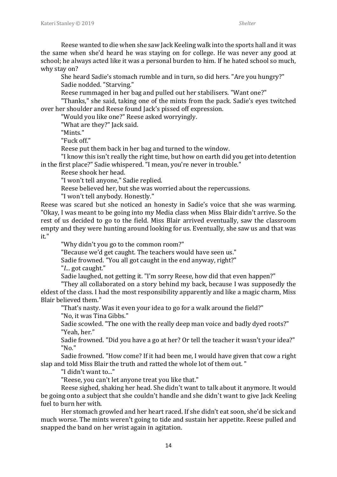Reese wanted to die when she saw Jack Keeling walk into the sports hall and it was the same when she'd heard he was staying on for college. He was never any good at school; he always acted like it was a personal burden to him. If he hated school so much, why stay on?

She heard Sadie's stomach rumble and in turn, so did hers. "Are you hungry?" Sadie nodded. "Starving."

Reese rummaged in her bag and pulled out her stabilisers. "Want one?"

"Thanks," she said, taking one of the mints from the pack. Sadie's eyes twitched over her shoulder and Reese found Jack's pissed off expression.

"Would you like one?" Reese asked worryingly.

"What are they?" Jack said.

"Mints."

"Fuck off."

Reese put them back in her bag and turned to the window.

"I know this isn't really the right time, but how on earth did you get into detention in the first place?" Sadie whispered. "I mean, you're never in trouble."

Reese shook her head.

"I won't tell anyone," Sadie replied.

Reese believed her, but she was worried about the repercussions.

"I won't tell anybody. Honestly."

Reese was scared but she noticed an honesty in Sadie's voice that she was warming. "Okay, I was meant to be going into my Media class when Miss Blair didn't arrive. So the rest of us decided to go to the field. Miss Blair arrived eventually, saw the classroom empty and they were hunting around looking for us. Eventually, she saw us and that was it."

"Why didn't you go to the common room?"

"Because we'd get caught. The teachers would have seen us."

Sadie frowned. "You all got caught in the end anyway, right?"

"*I.*.. got caught."

Sadie laughed, not getting it. "I'm sorry Reese, how did that even happen?"

"They all collaborated on a story behind my back, because I was supposedly the eldest of the class. I had the most responsibility apparently and like a magic charm, Miss Blair believed them."

"That's nasty. Was it even your idea to go for a walk around the field?" "No, it was Tina Gibbs."

Sadie scowled. "The one with the really deep man voice and badly dyed roots?" "Yeah, her."

Sadie frowned. "Did you have a go at her? Or tell the teacher it wasn't your idea?" "No."

Sadie frowned. "How come? If it had been me, I would have given that cow a right slap and told Miss Blair the truth and ratted the whole lot of them out. "

"I didn't want to..."

"Reese, you can't let anyone treat you like that."

Reese sighed, shaking her head. She didn't want to talk about it anymore. It would be going onto a subject that she couldn't handle and she didn't want to give Jack Keeling fuel to burn her with.

Her stomach growled and her heart raced. If she didn't eat soon, she'd be sick and much worse. The mints weren't going to tide and sustain her appetite. Reese pulled and snapped the band on her wrist again in agitation.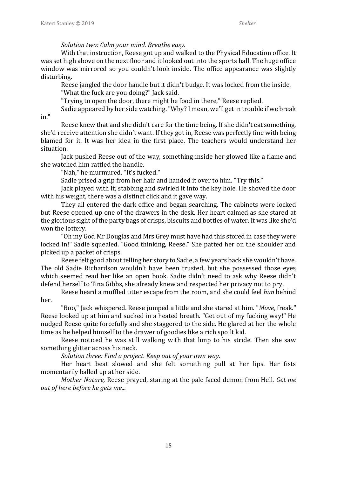#### *Solution two: Calm your mind. Breathe easy.*

With that instruction, Reese got up and walked to the Physical Education office. It was set high above on the next floor and it looked out into the sports hall. The huge office window was mirrored so you couldn't look inside. The office appearance was slightly disturbing.

Reese jangled the door handle but it didn't budge. It was locked from the inside. "What the fuck are you doing?" Jack said.

"Trying to open the door, there might be food in there," Reese replied.

Sadie appeared by her side watching. "Why? I mean, we'll get in trouble if we break

in."

Reese knew that and she didn't care for the time being. If she didn't eat something, she'd receive attention she didn't want. If they got in, Reese was perfectly fine with being blamed for it. It was her idea in the first place. The teachers would understand her situation.

Jack pushed Reese out of the way, something inside her glowed like a flame and she watched him rattled the handle.

"Nah," he murmured. "It's fucked."

Sadie prised a grip from her hair and handed it over to him. "Try this."

Jack played with it, stabbing and swirled it into the key hole. He shoved the door with his weight, there was a distinct click and it gave way.

They all entered the dark office and began searching. The cabinets were locked but Reese opened up one of the drawers in the desk. Her heart calmed as she stared at the glorious sight of the party bags of crisps, biscuits and bottles of water. It was like she'd won the lottery.

"Oh my God Mr Douglas and Mrs Grey must have had this stored in case they were locked in!" Sadie squealed. "Good thinking, Reese." She patted her on the shoulder and picked up a packet of crisps.

Reese felt good about telling her story to Sadie, a few years back she wouldn't have. The old Sadie Richardson wouldn't have been trusted, but she possessed those eyes which seemed read her like an open book. Sadie didn't need to ask why Reese didn't defend herself to Tina Gibbs, she already knew and respected her privacy not to pry.

Reese heard a muffled titter escape from the room, and she could feel *him* behind her.

"Boo," Jack whispered. Reese jumped a little and she stared at him. "*Move*, freak." Reese looked up at him and sucked in a heated breath. "Get out of my fucking way!" He nudged Reese quite forcefully and she staggered to the side. He glared at her the whole time as he helped himself to the drawer of goodies like a rich spoilt kid.

Reese noticed he was still walking with that limp to his stride. Then she saw something glitter across his neck.

*Solution three: Find a project. Keep out of your own way.*

Her heart beat slowed and she felt something pull at her lips. Her fists momentarily balled up at her side.

*Mother Nature,* Reese prayed, staring at the pale faced demon from Hell. *Get me out of here before he gets me...*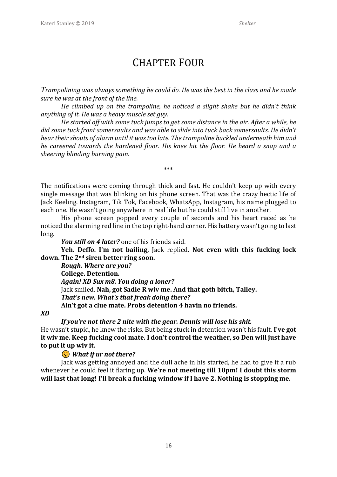#### CHAPTER FOUR

*Trampolining was always something he could do. He was the best in the class and he made sure he was at the front of the line.* 

*He climbed up on the trampoline, he noticed a slight shake but he didn't think anything of it. He was a heavy muscle set guy.* 

*He started off with some tuck jumps to get some distance in the air. After a while, he did some tuck front somersaults and was able to slide into tuck back somersaults. He didn't hear their shouts of alarm until it was too late. The trampoline buckled underneath him and he careened towards the hardened floor. His knee hit the floor. He heard a snap and a sheering blinding burning pain.* 

\*\*\*

The notifications were coming through thick and fast. He couldn't keep up with every single message that was blinking on his phone screen. That was the crazy hectic life of Jack Keeling. Instagram, Tik Tok, Facebook, WhatsApp, Instagram, his name plugged to each one. He wasn't going anywhere in real life but he could still live in another.

His phone screen popped every couple of seconds and his heart raced as he noticed the alarming red line in the top right-hand corner. His battery wasn't going to last long.

*You still on 4 later?* one of his friends said.

**Yeh. Deffo. I'm not bailing,** Jack replied. **Not even with this fucking lock down. The 2nd siren better ring soon.** 

*Rough. Where are you?* **College. Detention.** *Again! XD Sux m8. You doing a loner?* Jack smiled. **Nah, got Sadie R wiv me. And that goth bitch, Talley.** *That's new. What's that freak doing there?* **Ain't got a clue mate. Probs detention 4 havin no friends.** 

*XD* 

*If you're not there 2 nite with the gear. Dennis will lose his shit.*

He wasn't stupid, he knew the risks. But being stuck in detention wasn't his fault. **I've got it wiv me. Keep fucking cool mate. I don't control the weather, so Den will just have to put it up wiv it.** 

*What if ur not there?*

Jack was getting annoyed and the dull ache in his started, he had to give it a rub whenever he could feel it flaring up. **We're not meeting till 10pm! I doubt this storm will last that long! I'll break a fucking window if I have 2. Nothing is stopping me.**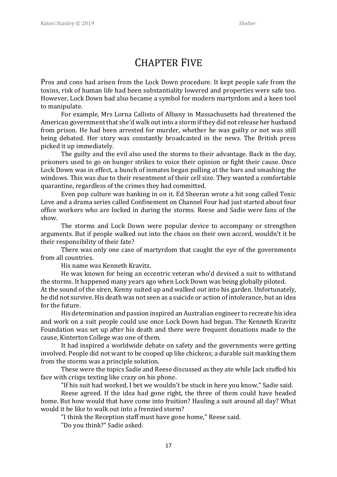#### CHAPTER FIVE

Pros and cons had arisen from the Lock Down procedure. It kept people safe from the toxins, risk of human life had been substantiality lowered and properties were safe too. However, Lock Down had also became a symbol for modern martyrdom and a keen tool to manipulate.

For example, Mrs Lorna Callisto of Albany in Massachusetts had threatened the American government that she'd walk out into a storm if they did not release her husband from prison. He had been arrested for murder, whether he was guilty or not was still being debated. Her story was constantly broadcasted in the news. The British press picked it up immediately.

The guilty and the evil also used the storms to their advantage. Back in the day, prisoners used to go on hunger strikes to voice their opinion or fight their cause. Once Lock Down was in effect, a bunch of inmates began pulling at the bars and smashing the windows. This was due to their resentment of their cell size. They wanted a comfortable quarantine, regardless of the crimes they had committed.

Even pop culture was banking in on it. Ed Sheeran wrote a hit song called Toxic Love and a drama series called Confinement on Channel Four had just started about four office workers who are locked in during the storms. Reese and Sadie were fans of the show.

The storms and Lock Down were popular device to accompany or strengthen arguments. But if people walked out into the chaos on their own accord, wouldn't it be their responsibility of their fate?

There was only one case of martyrdom that caught the eye of the governments from all countries.

His name was Kenneth Kravitz.

He was known for being an eccentric veteran who'd devised a suit to withstand the storms. It happened many years ago when Lock Down was being globally piloted. At the sound of the siren, Kenny suited up and walked out into his garden. Unfortunately, he did not survive. His death was not seen as a suicide or action of intolerance, but an idea for the future.

His determination and passion inspired an Australian engineer to recreate his idea and work on a suit people could use once Lock Down had begun. The Kenneth Kravitz Foundation was set up after his death and there were frequent donations made to the cause, Kinterton College was one of them.

It had inspired a worldwide debate on safety and the governments were getting involved. People did not want to be cooped up like chickens; a durable suit masking them from the storms was a principle solution.

These were the topics Sadie and Reese discussed as they ate while Jack stuffed his face with crisps texting like crazy on his phone.

"If his suit had worked, I bet we wouldn't be stuck in here you know," Sadie said.

Reese agreed. If the idea had gone right, the three of them could have headed home. But how would that have come into fruition? Hauling a suit around all day? What would it be like to walk out into a frenzied storm?

"I think the Reception staff must have gone home," Reese said.

"Do you think?" Sadie asked.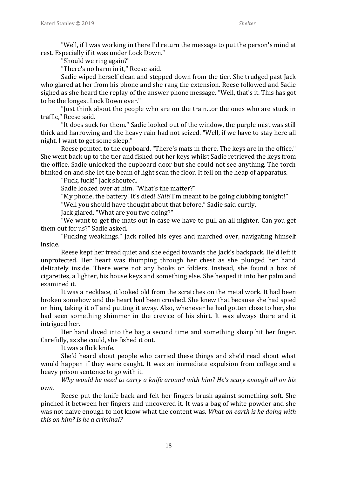"Well, if I was working in there I'd return the message to put the person's mind at rest. Especially if it was under Lock Down."

"Should we ring again?"

"There's no harm in it," Reese said.

Sadie wiped herself clean and stepped down from the tier. She trudged past Jack who glared at her from his phone and she rang the extension. Reese followed and Sadie sighed as she heard the replay of the answer phone message. "Well, that's it. This has got to be the longest Lock Down ever."

"Just think about the people who are on the train...or the ones who are stuck in traffic," Reese said.

"It does suck for them." Sadie looked out of the window, the purple mist was still thick and harrowing and the heavy rain had not seized. "Well, if we have to stay here all night. I want to get some sleep."

Reese pointed to the cupboard. "There's mats in there. The keys are in the office." She went back up to the tier and fished out her keys whilst Sadie retrieved the keys from the office. Sadie unlocked the cupboard door but she could not see anything. The torch blinked on and she let the beam of light scan the floor. It fell on the heap of apparatus.

"Fuck, fuck!" Jack shouted.

Sadie looked over at him. "What's the matter?"

"My phone, the battery! It's died! *Shit!* I'm meant to be going clubbing tonight!"

"Well you should have thought about that before," Sadie said curtly.

Jack glared. "What are you two doing?"

"We want to get the mats out in case we have to pull an all nighter. Can you get them out for us?" Sadie asked.

"Fucking weaklings." Jack rolled his eyes and marched over, navigating himself inside.

Reese kept her tread quiet and she edged towards the Jack's backpack. He'd left it unprotected. Her heart was thumping through her chest as she plunged her hand delicately inside. There were not any books or folders. Instead, she found a box of cigarettes, a lighter, his house keys and something else. She heaped it into her palm and examined it.

It was a necklace, it looked old from the scratches on the metal work. It had been broken somehow and the heart had been crushed. She knew that because she had spied on him, taking it off and putting it away. Also, whenever he had gotten close to her, she had seen something shimmer in the crevice of his shirt. It was always there and it intrigued her.

Her hand dived into the bag a second time and something sharp hit her finger. Carefully, as she could, she fished it out.

It was a flick knife.

She'd heard about people who carried these things and she'd read about what would happen if they were caught. It was an immediate expulsion from college and a heavy prison sentence to go with it.

*Why would he need to carry a knife around with him? He's scary enough all on his own.*

Reese put the knife back and felt her fingers brush against something soft. She pinched it between her fingers and uncovered it. It was a bag of white powder and she was not naive enough to not know what the content was. *What on earth is he doing with this on him? Is he a criminal?*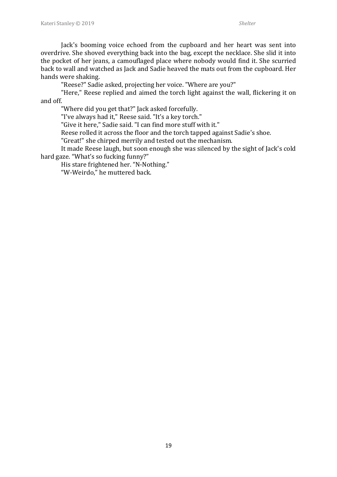Jack's booming voice echoed from the cupboard and her heart was sent into overdrive. She shoved everything back into the bag, except the necklace. She slid it into the pocket of her jeans, a camouflaged place where nobody would find it. She scurried back to wall and watched as Jack and Sadie heaved the mats out from the cupboard. Her hands were shaking.

"Reese?" Sadie asked, projecting her voice. "Where are you?"

"Here," Reese replied and aimed the torch light against the wall, flickering it on and off.

"Where did you get that?" Jack asked forcefully.

"I've always had it," Reese said. "It's a key torch."

"Give it here," Sadie said. "I can find more stuff with it."

Reese rolled it across the floor and the torch tapped against Sadie's shoe.

"Great!" she chirped merrily and tested out the mechanism.

It made Reese laugh, but soon enough she was silenced by the sight of Jack's cold hard gaze. "What's so fucking funny?"

His stare frightened her. "N-Nothing."

"W-Weirdo," he muttered back.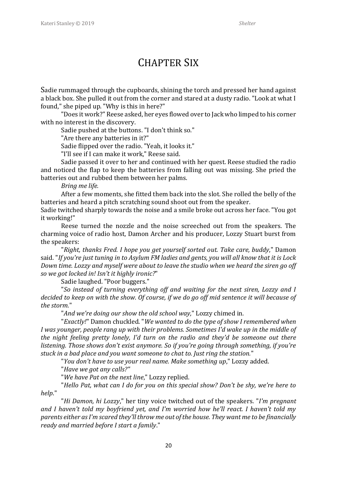#### CHAPTER SIX

Sadie rummaged through the cupboards, shining the torch and pressed her hand against a black box. She pulled it out from the corner and stared at a dusty radio. "Look at what I found," she piped up. "Why is this in here?"

"Does it work?" Reese asked, her eyes flowed over to Jack who limped to his corner with no interest in the discovery.

Sadie pushed at the buttons. "I don't think so."

"Are there any batteries in it?"

Sadie flipped over the radio. "Yeah, it looks it."

"I'll see if I can make it work," Reese said.

Sadie passed it over to her and continued with her quest. Reese studied the radio and noticed the flap to keep the batteries from falling out was missing. She pried the batteries out and rubbed them between her palms.

*Bring me life.*

After a few moments, she fitted them back into the slot. She rolled the belly of the batteries and heard a pitch scratching sound shoot out from the speaker.

Sadie twitched sharply towards the noise and a smile broke out across her face. "You got it working!"

Reese turned the nozzle and the noise screeched out from the speakers. The charming voice of radio host, Damon Archer and his producer, Lozzy Stuart burst from the speakers:

"*Right, thanks Fred. I hope you get yourself sorted out. Take care, buddy*," Damon said. "*If you're just tuning in to Asylum FM ladies and gents, you will all know that it is Lock Down time. Lozzy and myself were about to leave the studio when we heard the siren go off so we got locked in! Isn't it highly ironic?*"

Sadie laughed. "Poor buggers."

"*So instead of turning everything off and waiting for the next siren, Lozzy and I decided to keep on with the show. Of course, if we do go off mid sentence it will because of the storm.*"

"*And we're doing our show the old school way,*" Lozzy chimed in.

"*Exactly!*" Damon chuckled. "*We wanted to do the type of show I remembered when I was younger, people rang up with their problems. Sometimes I'd wake up in the middle of the night feeling pretty lonely, I'd turn on the radio and they'd be someone out there listening. Those shows don't exist anymore. So if you're going through something, if you're stuck in a bad place and you want someone to chat to. Just ring the station.*"

"*You don't have to use your real name. Make something up*," Lozzy added.

"*Have we got any calls?"*

"*We have Pat on the next line*," Lozzy replied.

"*Hello Pat, what can I do for you on this special show? Don't be shy, we're here to help*."

"*Hi Damon, hi Lozzy*," her tiny voice twitched out of the speakers. "*I'm pregnant and I haven't told my boyfriend yet, and I'm worried how he'll react. I haven't told my parents either as I'm scared they'll throw me out of the house. They want me to be financially ready and married before I start a family*."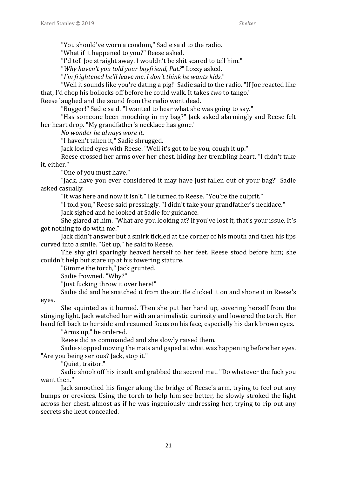"You should've worn a condom," Sadie said to the radio.

"What if it happened to you?" Reese asked.

"I'd tell Joe straight away. I wouldn't be shit scared to tell him."

"*Why haven't you told your boyfriend, Pat?*" Lozzy asked.

"*I'm frightened he'll leave me*. *I don't think he wants kids*."

"Well it sounds like you're dating a pig!" Sadie said to the radio. "If Joe reacted like that, I'd chop his bollocks off before he could walk. It takes *two* to tango."

Reese laughed and the sound from the radio went dead.

"Bugger!" Sadie said. "I wanted to hear what she was going to say."

"Has someone been mooching in my bag?" Jack asked alarmingly and Reese felt her heart drop. "My grandfather's necklace has gone."

*No wonder he always wore it*.

"I haven't taken it," Sadie shrugged.

Jack locked eyes with Reese. "Well it's got to be you, cough it up."

Reese crossed her arms over her chest, hiding her trembling heart. "I didn't take it, either."

"One of you must have."

"Jack, have you ever considered it may have just fallen out of your bag?" Sadie asked casually.

"It was here and now it isn't." He turned to Reese. "You're the culprit."

"I told you," Reese said pressingly. "I didn't take your grandfather's necklace."

Jack sighed and he looked at Sadie for guidance.

She glared at him. "What are you looking at? If you've lost it, that's your issue. It's got nothing to do with me."

Jack didn't answer but a smirk tickled at the corner of his mouth and then his lips curved into a smile. "Get up," he said to Reese.

The shy girl sparingly heaved herself to her feet. Reese stood before him; she couldn't help but stare up at his towering stature.

"Gimme the torch," Jack grunted.

Sadie frowned. "Why?"

"Just fucking throw it over here!"

Sadie did and he snatched it from the air. He clicked it on and shone it in Reese's

eyes.

She squinted as it burned. Then she put her hand up, covering herself from the stinging light. Jack watched her with an animalistic curiosity and lowered the torch. Her hand fell back to her side and resumed focus on his face, especially his dark brown eyes.

"Arms up," he ordered.

Reese did as commanded and she slowly raised them.

Sadie stopped moving the mats and gaped at what was happening before her eyes. "Are you being serious? Jack, stop it."

"Quiet, traitor."

Sadie shook off his insult and grabbed the second mat. "Do whatever the fuck you want then."

Jack smoothed his finger along the bridge of Reese's arm, trying to feel out any bumps or crevices. Using the torch to help him see better, he slowly stroked the light across her chest, almost as if he was ingeniously undressing her, trying to rip out any secrets she kept concealed.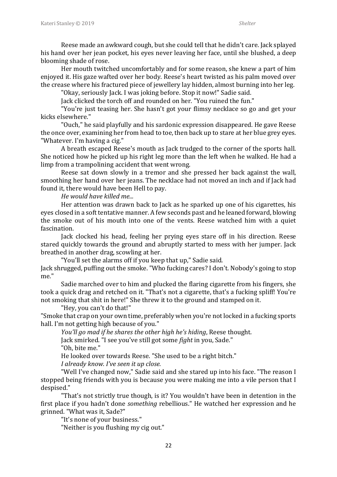Reese made an awkward cough, but she could tell that he didn't care. Jack splayed his hand over her jean pocket, his eyes never leaving her face, until she blushed, a deep blooming shade of rose.

Her mouth twitched uncomfortably and for some reason, she knew a part of him enjoyed it. His gaze wafted over her body. Reese's heart twisted as his palm moved over the crease where his fractured piece of jewellery lay hidden, almost burning into her leg.

"Okay, seriously Jack. I was joking before. Stop it now!" Sadie said.

Jack clicked the torch off and rounded on her. "You ruined the fun."

"You're just teasing her. She hasn't got your flimsy necklace so go and get your kicks elsewhere."

"Ouch," he said playfully and his sardonic expression disappeared. He gave Reese the once over, examining her from head to toe, then back up to stare at her blue grey eyes. "Whatever. I'm having a cig."

A breath escaped Reese's mouth as Jack trudged to the corner of the sports hall. She noticed how he picked up his right leg more than the left when he walked. He had a limp from a trampolining accident that went wrong.

Reese sat down slowly in a tremor and she pressed her back against the wall, smoothing her hand over her jeans. The necklace had not moved an inch and if Jack had found it, there would have been Hell to pay.

*He would have killed me...*

Her attention was drawn back to Jack as he sparked up one of his cigarettes, his eyes closed in a soft tentative manner. A few seconds past and he leaned forward, blowing the smoke out of his mouth into one of the vents. Reese watched him with a quiet fascination.

Jack clocked his head, feeling her prying eyes stare off in his direction. Reese stared quickly towards the ground and abruptly started to mess with her jumper. Jack breathed in another drag, scowling at her.

"You'll set the alarms off if you keep that up," Sadie said.

Jack shrugged, puffing out the smoke. "Who fucking cares? I don't. Nobody's going to stop me."

Sadie marched over to him and plucked the flaring cigarette from his fingers, she took a quick drag and retched on it. "That's not a cigarette, that's a fucking spliff! You're not smoking that shit in here!" She threw it to the ground and stamped on it.

"Hey, you can't do that!"

"Smoke that crap on your own time, preferably when you're not locked in a fucking sports hall. I'm not getting high because of you."

*You'll go mad if he shares the other high he's hiding*, Reese thought.

Jack smirked. "I see you've still got some *fight* in you, Sade." "Oh, bite me."

He looked over towards Reese. "She used to be a right bitch."

*I already know. I've seen it up close.*

"Well I've changed now," Sadie said and she stared up into his face. "The reason I stopped being friends with you is because you were making me into a vile person that I despised."

"That's not strictly true though, is it? You wouldn't have been in detention in the first place if you hadn't done *something* rebellious." He watched her expression and he grinned. "What was it, Sade?"

"It's none of your business."

"Neither is you flushing my cig out."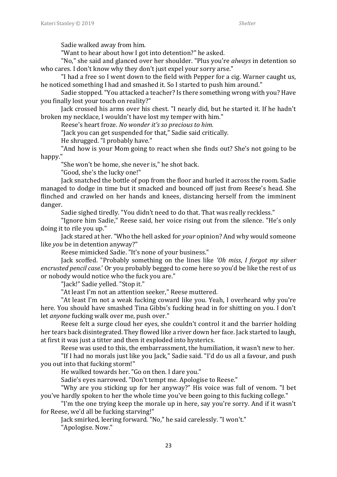Sadie walked away from him.

"Want to hear about how I got into detention?" he asked.

"No," she said and glanced over her shoulder. "Plus you're *always* in detention so who cares. I don't know why they don't just expel your sorry arse."

"I had a free so I went down to the field with Pepper for a cig. Warner caught us, he noticed something I had and smashed it. So I started to push him around."

Sadie stopped. "You attacked a teacher? Is there something wrong with you? Have you finally lost your touch on reality?"

Jack crossed his arms over his chest. "I nearly did, but he started it. If he hadn't broken my necklace, I wouldn't have lost my temper with him."

Reese's heart froze. *No wonder it's so precious to him.*

"Jack you can get suspended for that," Sadie said critically.

He shrugged. "I probably have."

"And how is your Mom going to react when she finds out? She's not going to be happy."

"She won't be home, she never is," he shot back.

"Good, she's the lucky one!"

Jack snatched the bottle of pop from the floor and hurled it across the room. Sadie managed to dodge in time but it smacked and bounced off just from Reese's head. She flinched and crawled on her hands and knees, distancing herself from the imminent danger.

Sadie sighed tiredly. "You didn't need to do that. That was really reckless."

"Ignore him Sadie," Reese said, her voice rising out from the silence. "He's only doing it to rile you up."

Jack stared at her. "Who the hell asked for *your* opinion? And why would someone like *you* be in detention anyway?"

Reese mimicked Sadie. "It's none of your business."

Jack scoffed. "Probably something on the lines like *'Oh miss*, *I forgot my silver encrusted pencil case.*' Or you probably begged to come here so you'd be like the rest of us or nobody would notice who the fuck you are."

"Jack!" Sadie yelled. "Stop it."

"At least I'm not an attention seeker," Reese muttered.

"At least I'm not a weak fucking coward like you. Yeah, I overheard why you're here. You should have smashed Tina Gibbs's fucking head in for shitting on you. I don't let *anyone* fucking walk over me, push over."

Reese felt a surge cloud her eyes, she couldn't control it and the barrier holding her tears back disintegrated. They flowed like a river down her face. Jack started to laugh, at first it was just a titter and then it exploded into hysterics.

Reese was used to this, the embarrassment, the humiliation, it wasn't new to her.

"If I had no morals just like you Jack," Sadie said. "I'd do us all a favour, and push you out into that fucking storm!"

He walked towards her. "Go on then. I dare you."

Sadie's eyes narrowed. "Don't tempt me. Apologise to Reese."

"Why are you sticking up for her anyway?" His voice was full of venom. "I bet you've hardly spoken to her the whole time you've been going to this fucking college."

"I'm the one trying keep the morale up in here, say you're sorry. And if it wasn't for Reese, we'd all be fucking starving!"

Jack smirked, leering forward. "No," he said carelessly. "I won't." "Apologise. Now."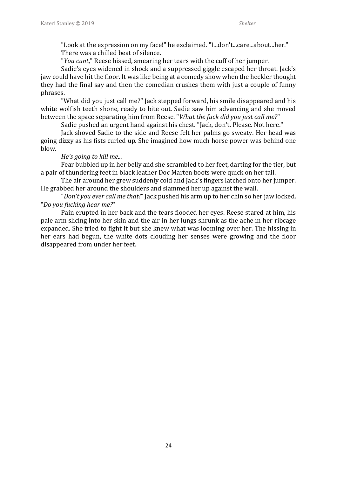"Look at the expression on my face!" he exclaimed. "I...don't...care...about...her." There was a chilled beat of silence.

"*You cunt*," Reese hissed, smearing her tears with the cuff of her jumper.

Sadie's eyes widened in shock and a suppressed giggle escaped her throat. Jack's jaw could have hit the floor. It was like being at a comedy show when the heckler thought they had the final say and then the comedian crushes them with just a couple of funny phrases.

"What did you just call me?" Jack stepped forward, his smile disappeared and his white wolfish teeth shone, ready to bite out. Sadie saw him advancing and she moved between the space separating him from Reese. "*What the fuck did you just call me?*"

Sadie pushed an urgent hand against his chest. "Jack, don't. Please. Not here."

Jack shoved Sadie to the side and Reese felt her palms go sweaty. Her head was going dizzy as his fists curled up. She imagined how much horse power was behind one blow.

#### *He's going to kill me...*

Fear bubbled up in her belly and she scrambled to her feet, darting for the tier, but a pair of thundering feet in black leather Doc Marten boots were quick on her tail.

The air around her grew suddenly cold and Jack's fingers latched onto her jumper. He grabbed her around the shoulders and slammed her up against the wall.

"*Don't you ever call me that!*" Jack pushed his arm up to her chin so her jaw locked. "*Do you fucking hear me?*"

Pain erupted in her back and the tears flooded her eyes. Reese stared at him, his pale arm slicing into her skin and the air in her lungs shrunk as the ache in her ribcage expanded. She tried to fight it but she knew what was looming over her. The hissing in her ears had begun, the white dots clouding her senses were growing and the floor disappeared from under her feet.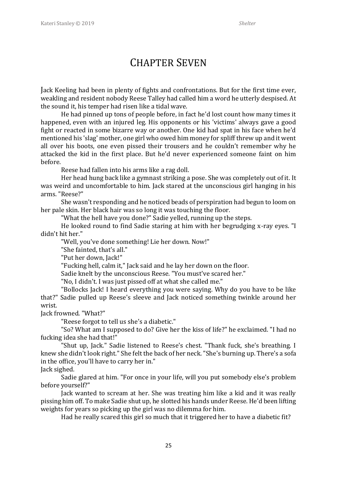#### CHAPTER SEVEN

Jack Keeling had been in plenty of fights and confrontations. But for the first time ever, weakling and resident nobody Reese Talley had called him a word he utterly despised. At the sound it, his temper had risen like a tidal wave.

He had pinned up tons of people before, in fact he'd lost count how many times it happened, even with an injured leg. His opponents or his 'victims' always gave a good fight or reacted in some bizarre way or another. One kid had spat in his face when he'd mentioned his 'slag' mother, one girl who owed him money for spliff threw up and it went all over his boots, one even pissed their trousers and he couldn't remember why he attacked the kid in the first place. But he'd never experienced someone faint on him before.

Reese had fallen into his arms like a rag doll.

Her head hung back like a gymnast striking a pose. She was completely out of it. It was weird and uncomfortable to him. Jack stared at the unconscious girl hanging in his arms. "Reese?"

She wasn't responding and he noticed beads of perspiration had begun to loom on her pale skin. Her black hair was so long it was touching the floor.

"What the hell have you done?" Sadie yelled, running up the steps.

He looked round to find Sadie staring at him with her begrudging x-ray eyes. "I didn't hit her."

"Well, you've done something! Lie her down. Now!"

"She fainted, that's all."

"Put her down, Jack!"

"Fucking hell, calm it," Jack said and he lay her down on the floor.

Sadie knelt by the unconscious Reese. "You must've scared her."

"No, I didn't. I was just pissed off at what she called me."

"Bollocks Jack! I heard everything you were saying. Why do you have to be like that?" Sadie pulled up Reese's sleeve and Jack noticed something twinkle around her wrist.

Jack frowned. "What?"

"Reese forgot to tell us she's a diabetic."

"So? What am I supposed to do? Give her the kiss of life?" he exclaimed. "I had no fucking idea she had that!"

"Shut up, Jack." Sadie listened to Reese's chest. "Thank fuck, she's breathing. I knew she didn't look right." She felt the back of her neck. "She's burning up. There's a sofa in the office, you'll have to carry her in."

Jack sighed.

Sadie glared at him. "For once in your life, will you put somebody else's problem before yourself?"

Jack wanted to scream at her. She was treating him like a kid and it was really pissing him off. To make Sadie shut up, he slotted his hands under Reese. He'd been lifting weights for years so picking up the girl was no dilemma for him.

Had he really scared this girl so much that it triggered her to have a diabetic fit?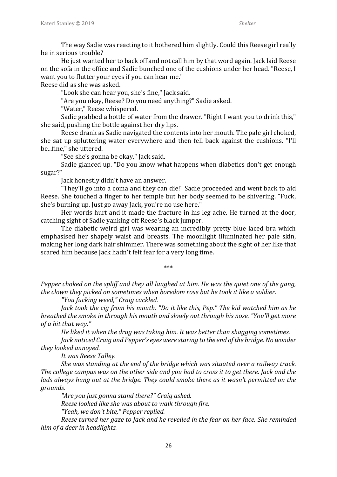The way Sadie was reacting to it bothered him slightly. Could this Reese girl really be in serious trouble?

He just wanted her to back off and not call him by that word again. Jack laid Reese on the sofa in the office and Sadie bunched one of the cushions under her head. "Reese, I want you to flutter your eyes if you can hear me."

Reese did as she was asked.

"Look she can hear you, she's fine," Jack said.

"Are you okay, Reese? Do you need anything?" Sadie asked.

"Water," Reese whispered.

Sadie grabbed a bottle of water from the drawer. "Right I want you to drink this," she said, pushing the bottle against her dry lips.

Reese drank as Sadie navigated the contents into her mouth. The pale girl choked, she sat up spluttering water everywhere and then fell back against the cushions. "I'll be...fine," she uttered.

"See she's gonna be okay," Jack said.

Sadie glanced up. "Do you know what happens when diabetics don't get enough sugar?"

Jack honestly didn't have an answer.

"They'll go into a coma and they can die!" Sadie proceeded and went back to aid Reese. She touched a finger to her temple but her body seemed to be shivering. "Fuck, she's burning up. Just go away Jack, you're no use here."

Her words hurt and it made the fracture in his leg ache. He turned at the door, catching sight of Sadie yanking off Reese's black jumper.

The diabetic weird girl was wearing an incredibly pretty blue laced bra which emphasised her shapely waist and breasts. The moonlight illuminated her pale skin, making her long dark hair shimmer. There was something about the sight of her like that scared him because Jack hadn't felt fear for a very long time.

\*\*\*

*Pepper choked on the spliff and they all laughed at him. He was the quiet one of the gang, the clown they picked on sometimes when boredom rose but he took it like a soldier.*

*"You fucking weed," Craig cackled.*

*Jack took the cig from his mouth. "Do it like this, Pep." The kid watched him as he breathed the smoke in through his mouth and slowly out through his nose. "You'll get more of a hit that way."*

*He liked it when the drug was taking him. It was better than shagging sometimes. Jack noticed Craig and Pepper's eyes were staring to the end of the bridge. No wonder they looked annoyed.*

*It was Reese Talley.*

*She was standing at the end of the bridge which was situated over a railway track. The college campus was on the other side and you had to cross it to get there. Jack and the lads always hung out at the bridge. They could smoke there as it wasn't permitted on the grounds.*

*"Are you just gonna stand there?" Craig asked. Reese looked like she was about to walk through fire. "Yeah, we don't bite," Pepper replied.*

*Reese turned her gaze to Jack and he revelled in the fear on her face. She reminded him of a deer in headlights.*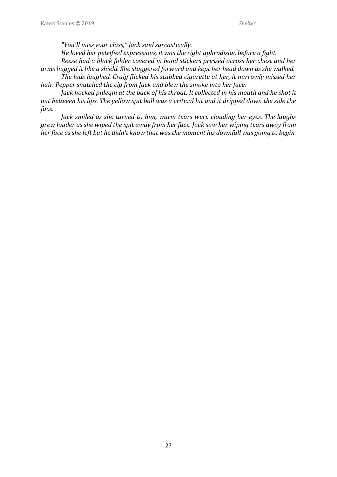*"You'll miss your class," Jack said sarcastically.*

*He loved her petrified expressions, it was the right aphrodisiac before a fight.*

*Reese had a black folder covered in band stickers pressed across her chest and her arms hugged it like a shield. She staggered forward and kept her head down as she walked.*

*The lads laughed. Craig flicked his stubbed cigarette at her, it narrowly missed her hair. Pepper snatched the cig from Jack and blew the smoke into her face.*

*Jack hocked phlegm at the back of his throat. It collected in his mouth and he shot it out between his lips. The yellow spit ball was a critical hit and it dripped down the side the face.*

*Jack smiled as she turned to him, warm tears were clouding her eyes. The laughs grew louder as she wiped the spit away from her face. Jack saw her wiping tears away from her face as she left but he didn't know that was the moment his downfall was going to begin.*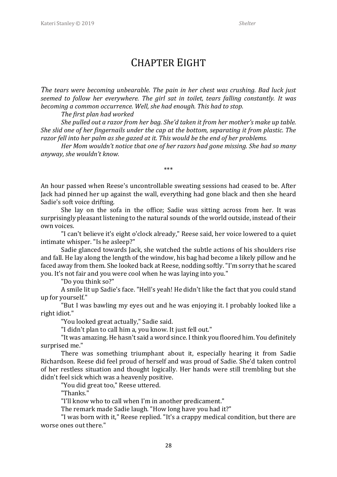#### CHAPTER EIGHT

*The tears were becoming unbearable. The pain in her chest was crushing. Bad luck just seemed to follow her everywhere. The girl sat in toilet, tears falling constantly. It was becoming a common occurrence. Well, she had enough. This had to stop.*

*The first plan had worked* 

*She pulled out a razor from her bag. She'd taken it from her mother's make up table. She slid one of her fingernails under the cap at the bottom, separating it from plastic. The razor fell into her palm as she gazed at it. This would be the end of her problems.* 

*Her Mom wouldn't notice that one of her razors had gone missing. She had so many anyway, she wouldn't know.* 

\*\*\*

An hour passed when Reese's uncontrollable sweating sessions had ceased to be. After Jack had pinned her up against the wall, everything had gone black and then she heard Sadie's soft voice drifting.

She lay on the sofa in the office; Sadie was sitting across from her. It was surprisingly pleasant listening to the natural sounds of the world outside, instead of their own voices.

"I can't believe it's eight o'clock already," Reese said, her voice lowered to a quiet intimate whisper. "Is he asleep?"

Sadie glanced towards Jack, she watched the subtle actions of his shoulders rise and fall. He lay along the length of the window, his bag had become a likely pillow and he faced away from them. She looked back at Reese, nodding softly. "I'm sorry that he scared you. It's not fair and you were cool when he was laying into you."

"Do you think so?"

A smile lit up Sadie's face. "Hell's yeah! He didn't like the fact that you could stand up for yourself."

"But I was bawling my eyes out and he was enjoying it. I probably looked like a right idiot."

"You looked great actually," Sadie said.

"I didn't plan to call him a, you know. It just fell out."

"It was amazing. He hasn't said a word since. I think you floored him. You definitely surprised me."

There was something triumphant about it, especially hearing it from Sadie Richardson. Reese did feel proud of herself and was proud of Sadie. She'd taken control of her restless situation and thought logically. Her hands were still trembling but she didn't feel sick which was a heavenly positive.

"You did great too," Reese uttered.

"Thanks."

"I'll know who to call when I'm in another predicament."

The remark made Sadie laugh. "How long have you had it?"

"I was born with it," Reese replied. "It's a crappy medical condition, but there are worse ones out there."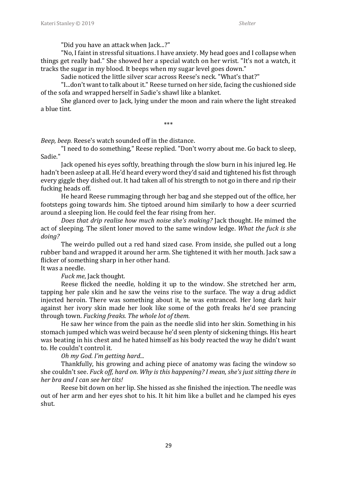"Did you have an attack when Jack...?"

"No, I faint in stressful situations. I have anxiety. My head goes and I collapse when things get really bad." She showed her a special watch on her wrist. "It's not a watch, it tracks the sugar in my blood. It beeps when my sugar level goes down."

Sadie noticed the little silver scar across Reese's neck. "What's that?"

"I...don't want to talk about it." Reese turned on her side, facing the cushioned side of the sofa and wrapped herself in Sadie's shawl like a blanket.

She glanced over to Jack, lying under the moon and rain where the light streaked a blue tint.

\*\*\*

*Beep, beep.* Reese's watch sounded off in the distance.

"I need to do something," Reese replied. "Don't worry about me. Go back to sleep, Sadie."

Jack opened his eyes softly, breathing through the slow burn in his injured leg. He hadn't been asleep at all. He'd heard every word they'd said and tightened his fist through every giggle they dished out. It had taken all of his strength to not go in there and rip their fucking heads off.

He heard Reese rummaging through her bag and she stepped out of the office, her footsteps going towards him. She tiptoed around him similarly to how a deer scurried around a sleeping lion. He could feel the fear rising from her.

*Does that drip realise how much noise she's making?* Jack thought. He mimed the act of sleeping. The silent loner moved to the same window ledge. *What the fuck is she doing?*

The weirdo pulled out a red hand sized case. From inside, she pulled out a long rubber band and wrapped it around her arm. She tightened it with her mouth. Jack saw a flicker of something sharp in her other hand.

It was a needle.

*Fuck me*, Jack thought.

Reese flicked the needle, holding it up to the window. She stretched her arm, tapping her pale skin and he saw the veins rise to the surface. The way a drug addict injected heroin. There was something about it, he was entranced. Her long dark hair against her ivory skin made her look like some of the goth freaks he'd see prancing through town. *Fucking freaks. The whole lot of them.*

He saw her wince from the pain as the needle slid into her skin. Something in his stomach jumped which was weird because he'd seen plenty of sickening things. His heart was beating in his chest and he hated himself as his body reacted the way he didn't want to. He couldn't control it.

*Oh my God. I'm getting hard...*

Thankfully, his growing and aching piece of anatomy was facing the window so she couldn't see. *Fuck off, hard on. Why is this happening? I mean, she's just sitting there in her bra and I can see her tits!*

Reese bit down on her lip. She hissed as she finished the injection*.* The needle was out of her arm and her eyes shot to his. It hit him like a bullet and he clamped his eyes shut.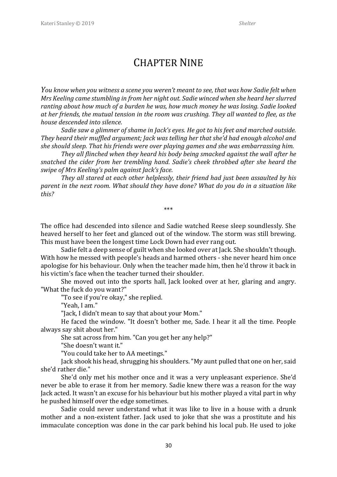#### CHAPTER NINE

*You know when you witness a scene you weren't meant to see, that was how Sadie felt when Mrs Keeling came stumbling in from her night out. Sadie winced when she heard her slurred ranting about how much of a burden he was, how much money he was losing. Sadie looked at her friends, the mutual tension in the room was crushing. They all wanted to flee, as the house descended into silence.* 

*Sadie saw a glimmer of shame in Jack's eyes. He got to his feet and marched outside. They heard their muffled argument; Jack was telling her that she'd had enough alcohol and she should sleep. That his friends were over playing games and she was embarrassing him.* 

*They all flinched when they heard his body being smacked against the wall after he snatched the cider from her trembling hand. Sadie's cheek throbbed after she heard the swipe of Mrs Keeling's palm against Jack's face.* 

*They all stared at each other helplessly, their friend had just been assaulted by his parent in the next room. What should they have done? What do you do in a situation like this?* 

\*\*\*

The office had descended into silence and Sadie watched Reese sleep soundlessly. She heaved herself to her feet and glanced out of the window. The storm was still brewing. This must have been the longest time Lock Down had ever rang out.

Sadie felt a deep sense of guilt when she looked over at Jack. She shouldn't though. With how he messed with people's heads and harmed others - she never heard him once apologise for his behaviour. Only when the teacher made him, then he'd throw it back in his victim's face when the teacher turned their shoulder.

She moved out into the sports hall, Jack looked over at her, glaring and angry. "What the fuck do you want?"

"To see if you're okay," she replied.

"Yeah, I am."

"Jack, I didn't mean to say that about your Mom."

He faced the window. "It doesn't bother me, Sade. I hear it all the time. People always say shit about her."

She sat across from him. "Can you get her any help?"

"She doesn't want it."

"You could take her to AA meetings."

Jack shook his head, shrugging his shoulders. "My aunt pulled that one on her, said she'd rather die."

She'd only met his mother once and it was a very unpleasant experience. She'd never be able to erase it from her memory. Sadie knew there was a reason for the way Jack acted. It wasn't an excuse for his behaviour but his mother played a vital part in why he pushed himself over the edge sometimes.

Sadie could never understand what it was like to live in a house with a drunk mother and a non-existent father. Jack used to joke that she was a prostitute and his immaculate conception was done in the car park behind his local pub. He used to joke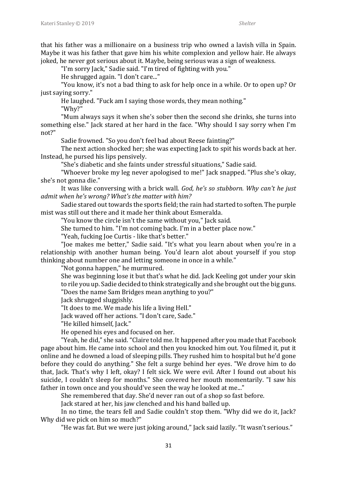that his father was a millionaire on a business trip who owned a lavish villa in Spain. Maybe it was his father that gave him his white complexion and yellow hair. He always joked, he never got serious about it. Maybe, being serious was a sign of weakness.

"I'm sorry Jack," Sadie said. "I'm tired of fighting with you."

He shrugged again. "I don't care..."

"You know, it's not a bad thing to ask for help once in a while. Or to open up? Or just saying sorry."

He laughed. "Fuck am I saying those words, they mean nothing."

"Why?"

"Mum always says it when she's sober then the second she drinks, she turns into something else." Jack stared at her hard in the face. "Why should I say sorry when I'm not?"

Sadie frowned. "So you don't feel bad about Reese fainting?"

The next action shocked her; she was expecting Jack to spit his words back at her. Instead, he pursed his lips pensively.

"She's diabetic and she faints under stressful situations," Sadie said.

"Whoever broke my leg never apologised to me!" Jack snapped. "Plus she's okay, she's not gonna die."

It was like conversing with a brick wall. *God, he's so stubborn. Why can't he just admit when he's wrong? What's the matter with him?*

Sadie stared out towards the sports field; the rain had started to soften. The purple mist was still out there and it made her think about Esmeralda.

"You know the circle isn't the same without you," Jack said.

She turned to him. "I'm not coming back. I'm in a better place now."

"Yeah, fucking Joe Curtis - like that's better."

"Joe makes me better," Sadie said. "It's what you learn about when you're in a relationship with another human being. You'd learn alot about yourself if you stop thinking about number one and letting someone in once in a while."

"Not gonna happen," he murmured.

She was beginning lose it but that's what he did. Jack Keeling got under your skin to rile you up. Sadie decided to think strategically and she brought out the big guns. "Does the name Sam Bridges mean anything to you?"

Jack shrugged sluggishly.

"It does to me. We made his life a living Hell."

Jack waved off her actions. "I don't care, Sade."

"He killed himself, Jack."

He opened his eyes and focused on her.

"Yeah, he did," she said. "Claire told me. It happened after you made that Facebook page about him. He came into school and then you knocked him out. You filmed it, put it online and he downed a load of sleeping pills. They rushed him to hospital but he'd gone before they could do anything." She felt a surge behind her eyes. "We drove him to do that, Jack. That's why I left, okay? I felt sick. We were evil. After I found out about his suicide, I couldn't sleep for months." She covered her mouth momentarily. "I saw his father in town once and you should've seen the way he looked at me..."

She remembered that day. She'd never ran out of a shop so fast before.

Jack stared at her, his jaw clenched and his hand balled up.

In no time, the tears fell and Sadie couldn't stop them. "Why did we do it, Jack? Why did we pick on him so much?"

"He was fat. But we were just joking around," Jack said lazily. "It wasn't serious."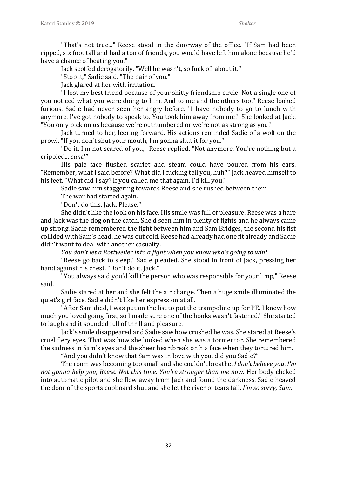"That's not true..." Reese stood in the doorway of the office. "If Sam had been ripped, six foot tall and had a ton of friends, you would have left him alone because he'd have a chance of beating you."

Jack scoffed derogatorily. "Well he wasn't, so fuck off about it."

"Stop it," Sadie said. "The pair of you."

Jack glared at her with irritation.

"I lost my best friend because of your shitty friendship circle. Not a single one of you noticed what you were doing to him. And to me and the others too." Reese looked furious. Sadie had never seen her angry before. "I have nobody to go to lunch with anymore. I've got nobody to speak to. You took him away from me!" She looked at Jack. "You only pick on us because we're outnumbered or we're not as strong as you!"

Jack turned to her, leering forward. His actions reminded Sadie of a wolf on the prowl. "If you don't shut your mouth, I'm gonna shut it for you."

"Do it. I'm not scared of you," Reese replied. "Not anymore. You're nothing but a crippled... *cunt!"*

His pale face flushed scarlet and steam could have poured from his ears. "Remember, what I said before? What did I fucking tell you, huh?" Jack heaved himself to his feet. "What did I say? If you called me that again, I'd kill you!"

Sadie saw him staggering towards Reese and she rushed between them.

The war had started again.

"Don't do this, Jack. Please."

She didn't like the look on his face. His smile was full of pleasure. Reese was a hare and Jack was the dog on the catch. She'd seen him in plenty of fights and he always came up strong. Sadie remembered the fight between him and Sam Bridges, the second his fist collided with Sam's head, he was out cold. Reese had already had one fit already and Sadie didn't want to deal with another casualty.

*You don't let a Rottweiler into a fight when you know who's going to win!*

"Reese go back to sleep," Sadie pleaded. She stood in front of Jack, pressing her hand against his chest. "Don't do it, Jack."

"You always said you'd kill the person who was responsible for your limp," Reese said.

Sadie stared at her and she felt the air change. Then a huge smile illuminated the quiet's girl face. Sadie didn't like her expression at all.

"After Sam died, I was put on the list to put the trampoline up for PE. I knew how much you loved going first, so I made sure one of the hooks wasn't fastened." She started to laugh and it sounded full of thrill and pleasure.

Jack's smile disappeared and Sadie saw how crushed he was. She stared at Reese's cruel fiery eyes. That was how she looked when she was a tormentor. She remembered the sadness in Sam's eyes and the sheer heartbreak on his face when they tortured him.

"And you didn't know that Sam was in love with you, did you Sadie?"

The room was becoming too small and she couldn't breathe. *I don't believe you*. *I'm not gonna help you, Reese. Not this time. You're stronger than me now.* Her body clicked into automatic pilot and she flew away from Jack and found the darkness. Sadie heaved the door of the sports cupboard shut and she let the river of tears fall. *I'm so sorry, Sam.*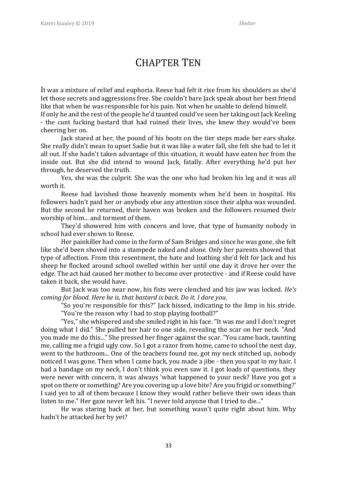#### CHAPTER TEN

It was a mixture of relief and euphoria. Reese had felt it rise from his shoulders as she'd let those secrets and aggressions free. She couldn't bare Jack speak about her best friend like that when he was responsible for his pain. Not when he unable to defend himself. If only he and the rest of the people he'd taunted could've seen her taking out Jack Keeling - the cunt fucking bastard that had ruined their lives, she knew they would've been cheering her on.

Jack stared at her, the pound of his boots on the tier steps made her ears shake. She really didn't mean to upset Sadie but it was like a water fall, she felt she had to let it all out. If she hadn't taken advantage of this situation, it would have eaten her from the inside out. But she did intend to wound Jack, fatally. After everything he'd put her through, he deserved the truth.

Yes, she was the culprit. She was the one who had broken his leg and it was all worth it.

Reese had lavished those heavenly moments when he'd been in hospital. His followers hadn't paid her or anybody else any attention since their alpha was wounded. But the second he returned, their haven was broken and the followers resumed their worship of him... and torment of them.

They'd showered him with concern and love, that type of humanity nobody in school had ever shown to Reese.

Her painkiller had come in the form of Sam Bridges and since he was gone, she felt like she'd been shoved into a stampede naked and alone. Only her parents showed that type of affection. From this resentment, the hate and loathing she'd felt for Jack and his sheep he flocked around school swelled within her until one day it drove her over the edge. The act had caused her mother to become over protective - and if Reese could have taken it back, she would have.

But Jack was too near now, his fists were clenched and his jaw was locked. *He's coming for blood. Here he is, that bastard is back. Do it. I dare you.*

"So you're responsible for this?" Jack hissed, indicating to the limp in his stride. "You're the reason why I had to stop playing football?"

"Yes," she whispered and she smiled right in his face. "It was me and I don't regret doing what I did." She pulled her hair to one side, revealing the scar on her neck. "And you made me do this..." She pressed her finger against the scar. "You came back, taunting me, calling me a frigid ugly cow. So I got a razor from home, came to school the next day, went to the bathroom... One of the teachers found me, got my neck stitched up, nobody noticed I was gone. Then when I came back, you made a jibe - then you spat in my hair. I had a bandage on my neck, I don't think you even saw it. I got loads of questions, they were never with concern, it was always 'what happened to your neck? Have you got a spot on there or something? Are you covering up a love bite? Are you frigid or something?' I said yes to all of them because I know they would rather believe their own ideas than listen to me." Her gaze never left his. "I never told anyone that I tried to die..."

He was staring back at her, but something wasn't quite right about him. Why hadn't he attacked her by yet?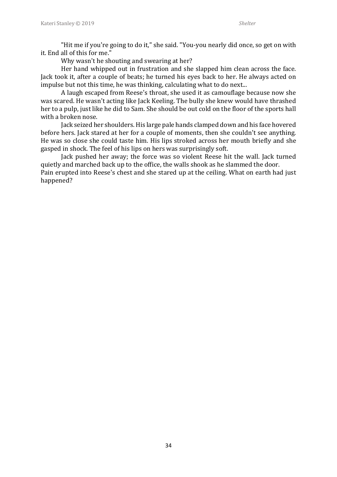"Hit me if you're going to do it," she said. "You-you nearly did once, so get on with it. End all of this for me."

Why wasn't he shouting and swearing at her?

Her hand whipped out in frustration and she slapped him clean across the face. Jack took it, after a couple of beats; he turned his eyes back to her. He always acted on impulse but not this time, he was thinking, calculating what to do next...

A laugh escaped from Reese's throat, she used it as camouflage because now she was scared. He wasn't acting like Jack Keeling. The bully she knew would have thrashed her to a pulp, just like he did to Sam. She should be out cold on the floor of the sports hall with a broken nose.

Jack seized her shoulders. His large pale hands clamped down and his face hovered before hers. Jack stared at her for a couple of moments, then she couldn't see anything. He was so close she could taste him. His lips stroked across her mouth briefly and she gasped in shock. The feel of his lips on hers was surprisingly soft.

Jack pushed her away; the force was so violent Reese hit the wall. Jack turned quietly and marched back up to the office, the walls shook as he slammed the door.

Pain erupted into Reese's chest and she stared up at the ceiling. What on earth had just happened?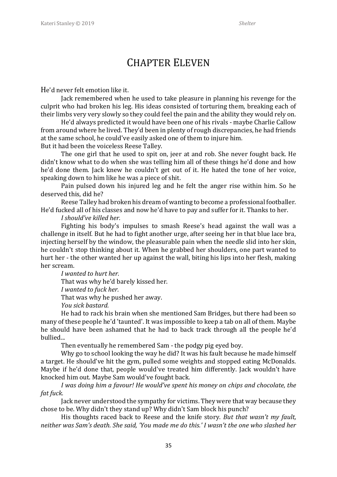### CHAPTER ELEVEN

He'd never felt emotion like it.

Jack remembered when he used to take pleasure in planning his revenge for the culprit who had broken his leg. His ideas consisted of torturing them, breaking each of their limbs very very slowly so they could feel the pain and the ability they would rely on.

He'd always predicted it would have been one of his rivals - maybe Charlie Callow from around where he lived. They'd been in plenty of rough discrepancies, he had friends at the same school, he could've easily asked one of them to injure him. But it had been the voiceless Reese Talley.

The one girl that he used to spit on, jeer at and rob. She never fought back. He didn't know what to do when she was telling him all of these things he'd done and how he'd done them. Jack knew he couldn't get out of it. He hated the tone of her voice, speaking down to him like he was a piece of shit.

Pain pulsed down his injured leg and he felt the anger rise within him. So he deserved this, did he?

Reese Talley had broken his dream of wanting to become a professional footballer. He'd fucked all of his classes and now he'd have to pay and suffer for it. Thanks to her.

*I should've killed her.*

Fighting his body's impulses to smash Reese's head against the wall was a challenge in itself. But he had to fight another urge, after seeing her in that blue lace bra, injecting herself by the window, the pleasurable pain when the needle slid into her skin, he couldn't stop thinking about it. When he grabbed her shoulders, one part wanted to hurt her - the other wanted her up against the wall, biting his lips into her flesh, making her scream.

*I wanted to hurt her.*

That was why he'd barely kissed her.

*I wanted to fuck her.*

That was why he pushed her away.

*You sick bastard.* 

He had to rack his brain when she mentioned Sam Bridges, but there had been so many of these people he'd 'taunted'. It was impossible to keep a tab on all of them. Maybe he should have been ashamed that he had to back track through all the people he'd bullied...

Then eventually he remembered Sam - the podgy pig eyed boy.

Why go to school looking the way he did? It was his fault because he made himself a target. He should've hit the gym, pulled some weights and stopped eating McDonalds. Maybe if he'd done that, people would've treated him differently. Jack wouldn't have knocked him out. Maybe Sam would've fought back.

*I was doing him a favour! He would've spent his money on chips and chocolate, the fat fuck.*

Jack never understood the sympathy for victims. They were that way because they chose to be. Why didn't they stand up? Why didn't Sam block his punch?

His thoughts raced back to Reese and the knife story. *But that wasn't my fault, neither was Sam's death. She said, 'You made me do this.' I wasn't the one who slashed her*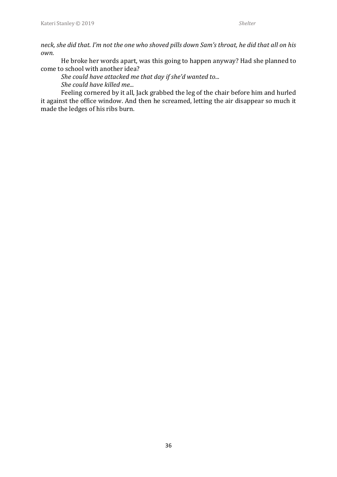*neck, she did that. I'm not the one who shoved pills down Sam's throat, he did that all on his own.*

He broke her words apart, was this going to happen anyway? Had she planned to come to school with another idea?

*She could have attacked me that day if she'd wanted to... She could have killed me...*

Feeling cornered by it all, Jack grabbed the leg of the chair before him and hurled it against the office window. And then he screamed, letting the air disappear so much it made the ledges of his ribs burn.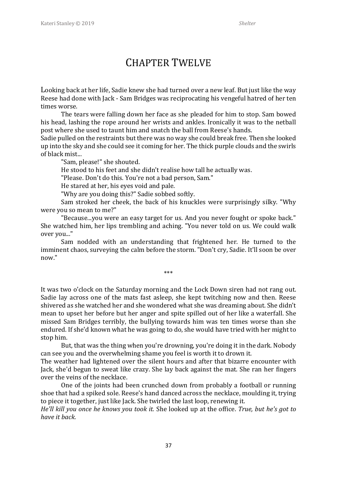### CHAPTER TWELVE

Looking back at her life, Sadie knew she had turned over a new leaf. But just like the way Reese had done with Jack - Sam Bridges was reciprocating his vengeful hatred of her ten times worse.

The tears were falling down her face as she pleaded for him to stop. Sam bowed his head, lashing the rope around her wrists and ankles. Ironically it was to the netball post where she used to taunt him and snatch the ball from Reese's hands.

Sadie pulled on the restraints but there was no way she could break free. Then she looked up into the sky and she could see it coming for her. The thick purple clouds and the swirls of black mist...

"Sam, please!" she shouted.

He stood to his feet and she didn't realise how tall he actually was.

"Please. Don't do this. You're not a bad person, Sam."

He stared at her, his eyes void and pale.

"Why are you doing this?" Sadie sobbed softly.

Sam stroked her cheek, the back of his knuckles were surprisingly silky. "Why were you so mean to me?"

"Because...you were an easy target for us. And you never fought or spoke back." She watched him, her lips trembling and aching. "You never told on us. We could walk over you..."

Sam nodded with an understanding that frightened her. He turned to the imminent chaos, surveying the calm before the storm. "Don't cry, Sadie. It'll soon be over now."

\*\*\*

It was two o'clock on the Saturday morning and the Lock Down siren had not rang out. Sadie lay across one of the mats fast asleep, she kept twitching now and then. Reese shivered as she watched her and she wondered what she was dreaming about. She didn't mean to upset her before but her anger and spite spilled out of her like a waterfall. She missed Sam Bridges terribly, the bullying towards him was ten times worse than she endured. If she'd known what he was going to do, she would have tried with her might to stop him.

But, that was the thing when you're drowning, you're doing it in the dark. Nobody can see you and the overwhelming shame you feel is worth it to drown it.

The weather had lightened over the silent hours and after that bizarre encounter with Jack, she'd begun to sweat like crazy. She lay back against the mat. She ran her fingers over the veins of the necklace.

One of the joints had been crunched down from probably a football or running shoe that had a spiked sole. Reese's hand danced across the necklace, moulding it, trying to piece it together, just like Jack. She twirled the last loop, renewing it.

*He'll kill you once he knows you took it.* She looked up at the office. *True, but he's got to have it back.*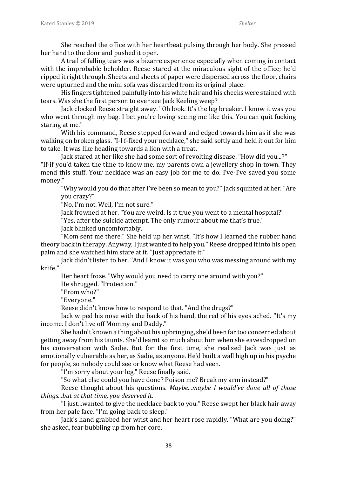She reached the office with her heartbeat pulsing through her body. She pressed her hand to the door and pushed it open.

A trail of falling tears was a bizarre experience especially when coming in contact with the improbable beholder. Reese stared at the miraculous sight of the office; he'd ripped it right through. Sheets and sheets of paper were dispersed across the floor, chairs were upturned and the mini sofa was discarded from its original place.

His fingers tightened painfully into his white hair and his cheeks were stained with tears. Was she the first person to ever see Jack Keeling weep?

Jack clocked Reese straight away. "Oh look. It's the leg breaker. I know it was you who went through my bag. I bet you're loving seeing me like this. You can quit fucking staring at me."

With his command, Reese stepped forward and edged towards him as if she was walking on broken glass. "I-I f-fixed your necklace," she said softly and held it out for him to take. It was like heading towards a lion with a treat.

Jack stared at her like she had some sort of revolting disease. "How did you...?" "If-if you'd taken the time to know me, my parents own a jewellery shop in town. They mend this stuff. Your necklace was an easy job for me to do. I've-I've saved you some money."

"Why would you do that after I've been so mean to you?" Jack squinted at her. "Are you crazy?"

"No, I'm not. Well, I'm not sure."

Jack frowned at her. "You are weird. Is it true you went to a mental hospital?"

"Yes, after the suicide attempt. The only rumour about me that's true."

Jack blinked uncomfortably.

"Mom sent me there." She held up her wrist. "It's how I learned the rubber hand theory back in therapy. Anyway, I just wanted to help you." Reese dropped it into his open palm and she watched him stare at it. "Just appreciate it."

Jack didn't listen to her. "And I know it was you who was messing around with my knife."

Her heart froze. "Why would you need to carry one around with you?"

He shrugged. "Protection."

"From who?"

"Everyone."

Reese didn't know how to respond to that. "And the drugs?"

Jack wiped his nose with the back of his hand, the red of his eyes ached. "It's my income. I don't live off Mommy and Daddy."

She hadn't known a thing about his upbringing, she'd been far too concerned about getting away from his taunts. She'd learnt so much about him when she eavesdropped on his conversation with Sadie. But for the first time, she realised Jack was just as emotionally vulnerable as her, as Sadie, as anyone. He'd built a wall high up in his psyche for people, so nobody could see or know what Reese had seen.

"I'm sorry about your leg," Reese finally said.

"So what else could you have done? Poison me? Break my arm instead?"

Reese thought about his questions. *Maybe...maybe I would've done all of those things...but at that time, you deserved it.*

"I just...wanted to give the necklace back to you." Reese swept her black hair away from her pale face. "I'm going back to sleep."

Jack's hand grabbed her wrist and her heart rose rapidly. "What are you doing?" she asked, fear bubbling up from her core.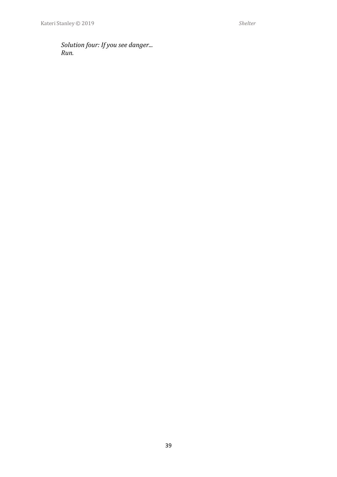*Solution four: If you see danger... Run.*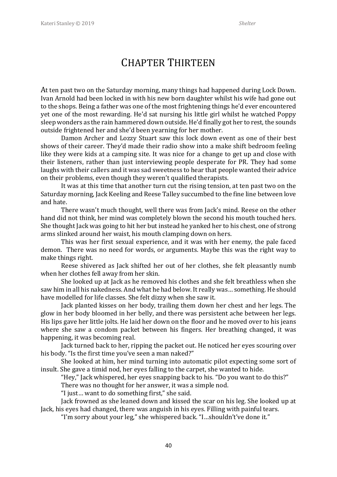#### CHAPTER THIRTEEN

At ten past two on the Saturday morning, many things had happened during Lock Down. Ivan Arnold had been locked in with his new born daughter whilst his wife had gone out to the shops. Being a father was one of the most frightening things he'd ever encountered yet one of the most rewarding. He'd sat nursing his little girl whilst he watched Poppy sleep wonders as the rain hammered down outside. He'd finally got her to rest, the sounds outside frightened her and she'd been yearning for her mother.

Damon Archer and Lozzy Stuart saw this lock down event as one of their best shows of their career. They'd made their radio show into a make shift bedroom feeling like they were kids at a camping site. It was nice for a change to get up and close with their listeners, rather than just interviewing people desperate for PR. They had some laughs with their callers and it was sad sweetness to hear that people wanted their advice on their problems, even though they weren't qualified therapists.

It was at this time that another turn cut the rising tension, at ten past two on the Saturday morning, Jack Keeling and Reese Talley succumbed to the fine line between love and hate.

There wasn't much thought, well there was from Jack's mind. Reese on the other hand did not think, her mind was completely blown the second his mouth touched hers. She thought Jack was going to hit her but instead he yanked her to his chest, one of strong arms slinked around her waist, his mouth clamping down on hers.

This was her first sexual experience, and it was with her enemy, the pale faced demon. There was no need for words, or arguments. Maybe this was the right way to make things right.

Reese shivered as Jack shifted her out of her clothes, she felt pleasantly numb when her clothes fell away from her skin.

She looked up at Jack as he removed his clothes and she felt breathless when she saw him in all his nakedness. And what he had below. It really was… something. He should have modelled for life classes. She felt dizzy when she saw it.

Jack planted kisses on her body, trailing them down her chest and her legs. The glow in her body bloomed in her belly, and there was persistent ache between her legs. His lips gave her little jolts. He laid her down on the floor and he moved over to his jeans where she saw a condom packet between his fingers. Her breathing changed, it was happening, it was becoming real.

Jack turned back to her, ripping the packet out. He noticed her eyes scouring over his body. "Is the first time you've seen a man naked?"

She looked at him, her mind turning into automatic pilot expecting some sort of insult. She gave a timid nod, her eyes falling to the carpet, she wanted to hide.

"Hey," Jack whispered, her eyes snapping back to his. "Do you want to do this?"

There was no thought for her answer, it was a simple nod.

"I just… want to do something first," she said.

Jack frowned as she leaned down and kissed the scar on his leg. She looked up at Jack, his eyes had changed, there was anguish in his eyes. Filling with painful tears.

"I'm sorry about your leg," she whispered back. "I…shouldn't've done it."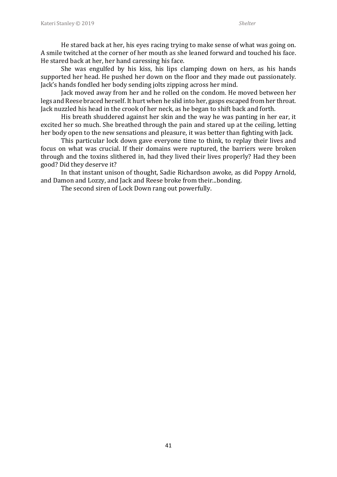He stared back at her, his eyes racing trying to make sense of what was going on. A smile twitched at the corner of her mouth as she leaned forward and touched his face. He stared back at her, her hand caressing his face.

She was engulfed by his kiss, his lips clamping down on hers, as his hands supported her head. He pushed her down on the floor and they made out passionately. Jack's hands fondled her body sending jolts zipping across her mind.

Jack moved away from her and he rolled on the condom. He moved between her legs and Reese braced herself. It hurt when he slid into her, gasps escaped from her throat. Jack nuzzled his head in the crook of her neck, as he began to shift back and forth.

His breath shuddered against her skin and the way he was panting in her ear, it excited her so much. She breathed through the pain and stared up at the ceiling, letting her body open to the new sensations and pleasure, it was better than fighting with Jack.

This particular lock down gave everyone time to think, to replay their lives and focus on what was crucial. If their domains were ruptured, the barriers were broken through and the toxins slithered in, had they lived their lives properly? Had they been good? Did they deserve it?

In that instant unison of thought, Sadie Richardson awoke, as did Poppy Arnold, and Damon and Lozzy, and Jack and Reese broke from their...bonding.

The second siren of Lock Down rang out powerfully.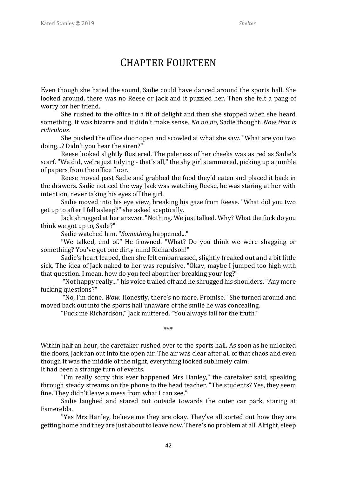#### CHAPTER FOURTEEN

Even though she hated the sound, Sadie could have danced around the sports hall. She looked around, there was no Reese or Jack and it puzzled her. Then she felt a pang of worry for her friend.

She rushed to the office in a fit of delight and then she stopped when she heard something. It was bizarre and it didn't make sense. *No no no*, Sadie thought. *Now that is ridiculous.*

She pushed the office door open and scowled at what she saw. "What are you two doing...? Didn't you hear the siren?"

Reese looked slightly flustered. The paleness of her cheeks was as red as Sadie's scarf. "We did, we're just tidying - that's all," the shy girl stammered, picking up a jumble of papers from the office floor.

Reese moved past Sadie and grabbed the food they'd eaten and placed it back in the drawers. Sadie noticed the way Jack was watching Reese, he was staring at her with intention, never taking his eyes off the girl.

Sadie moved into his eye view, breaking his gaze from Reese. "What did you two get up to after I fell asleep?" she asked sceptically.

Jack shrugged at her answer. "Nothing. We just talked. Why? What the fuck do you think we got up to, Sade?"

Sadie watched him. "*Something* happened..."

"We talked, end of." He frowned. "What? Do you think we were shagging or something? You've got one dirty mind Richardson!"

Sadie's heart leaped, then she felt embarrassed, slightly freaked out and a bit little sick. The idea of Jack naked to her was repulsive. "Okay, maybe I jumped too high with that question. I mean, how do you feel about her breaking your leg?"

"Not happy really..." his voice trailed off and he shrugged his shoulders. "Any more fucking questions?"

"No, I'm done. *Wow.* Honestly, there's no more. Promise." She turned around and moved back out into the sports hall unaware of the smile he was concealing.

\*\*\*

"Fuck me Richardson," Jack muttered. "You always fall for the truth."

Within half an hour, the caretaker rushed over to the sports hall. As soon as he unlocked the doors, Jack ran out into the open air. The air was clear after all of that chaos and even though it was the middle of the night, everything looked sublimely calm. It had been a strange turn of events.

"I'm really sorry this ever happened Mrs Hanley," the caretaker said, speaking through steady streams on the phone to the head teacher. "The students? Yes, they seem fine. They didn't leave a mess from what I can see."

Sadie laughed and stared out outside towards the outer car park, staring at Esmerelda.

"Yes Mrs Hanley, believe me they are okay. They've all sorted out how they are getting home and they are just about to leave now. There's no problem at all. Alright, sleep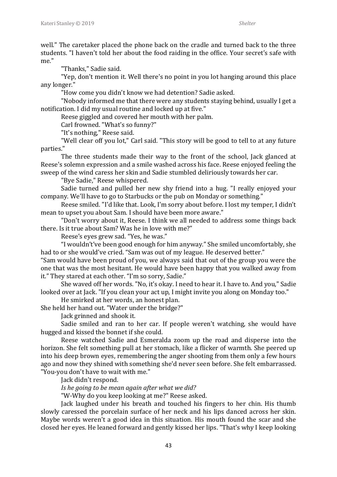well." The caretaker placed the phone back on the cradle and turned back to the three students. "I haven't told her about the food raiding in the office. Your secret's safe with me."

"Thanks," Sadie said.

"Yep, don't mention it. Well there's no point in you lot hanging around this place any longer."

"How come you didn't know we had detention? Sadie asked.

"Nobody informed me that there were any students staying behind, usually I get a notification. I did my usual routine and locked up at five."

Reese giggled and covered her mouth with her palm.

Carl frowned. "What's so funny?"

"It's nothing," Reese said.

"Well clear off you lot," Carl said. "This story will be good to tell to at any future parties."

The three students made their way to the front of the school, Jack glanced at Reese's solemn expression and a smile washed across his face. Reese enjoyed feeling the sweep of the wind caress her skin and Sadie stumbled deliriously towards her car.

"Bye Sadie," Reese whispered.

Sadie turned and pulled her new shy friend into a hug. "I really enjoyed your company. We'll have to go to Starbucks or the pub on Monday or something."

Reese smiled. "I'd like that. Look, I'm sorry about before. I lost my temper, I didn't mean to upset you about Sam. I should have been more aware."

"Don't worry about it, Reese. I think we all needed to address some things back there. Is it true about Sam? Was he in love with me?"

Reese's eyes grew sad. "Yes, he was."

"I wouldn't've been good enough for him anyway." She smiled uncomfortably, she had to or she would've cried. "Sam was out of my league. He deserved better."

"Sam would have been proud of you, we always said that out of the group you were the one that was the most hesitant. He would have been happy that you walked away from it." They stared at each other. "I'm so sorry, Sadie."

She waved off her words. "No, it's okay. I need to hear it. I have to. And you," Sadie looked over at Jack. "If you clean your act up, I might invite you along on Monday too."

He smirked at her words, an honest plan.

She held her hand out. "Water under the bridge?"

Jack grinned and shook it.

Sadie smiled and ran to her car. If people weren't watching, she would have hugged and kissed the bonnet if she could.

Reese watched Sadie and Esmeralda zoom up the road and disperse into the horizon. She felt something pull at her stomach, like a flicker of warmth. She peered up into his deep brown eyes, remembering the anger shooting from them only a few hours ago and now they shined with something she'd never seen before. She felt embarrassed. "You-you don't have to wait with me."

Jack didn't respond.

*Is he going to be mean again after what we did?*

"W-Why do you keep looking at me?" Reese asked.

Jack laughed under his breath and touched his fingers to her chin. His thumb slowly caressed the porcelain surface of her neck and his lips danced across her skin. Maybe words weren't a good idea in this situation. His mouth found the scar and she closed her eyes. He leaned forward and gently kissed her lips. "That's why I keep looking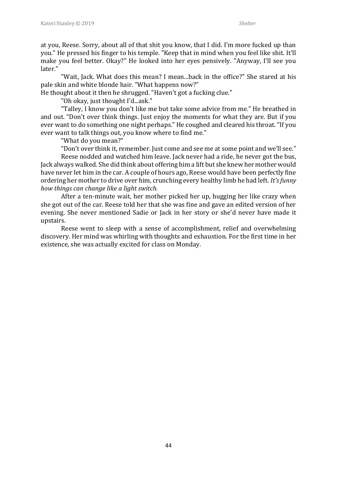at you, Reese. Sorry, about all of that shit you know, that I did. I'm more fucked up than you." He pressed his finger to his temple. "Keep that in mind when you feel like shit. It'll make you feel better. Okay?" He looked into her eyes pensively. "Anyway, I'll see you later."

"Wait, Jack. What does this mean? I mean...back in the office?" She stared at his pale skin and white blonde hair. "What happens now?"

He thought about it then he shrugged. "Haven't got a fucking clue."

"Oh okay, just thought I'd...ask."

"Talley, I know you don't like me but take some advice from me." He breathed in and out. "Don't over think things. Just enjoy the moments for what they are. But if you ever want to do something one night perhaps." He coughed and cleared his throat. "If you ever want to talk things out, you know where to find me."

"What do you mean?"

"Don't over think it, remember. Just come and see me at some point and we'll see."

Reese nodded and watched him leave. Jack never had a ride, he never got the bus, Jack always walked. She did think about offering him a lift but she knew her mother would have never let him in the car. A couple of hours ago, Reese would have been perfectly fine ordering her mother to drive over him, crunching every healthy limb he had left. *It's funny how things can change like a light switch.* 

After a ten-minute wait, her mother picked her up, hugging her like crazy when she got out of the car. Reese told her that she was fine and gave an edited version of her evening. She never mentioned Sadie or Jack in her story or she'd never have made it upstairs.

Reese went to sleep with a sense of accomplishment, relief and overwhelming discovery. Her mind was whirling with thoughts and exhaustion. For the first time in her existence, she was actually excited for class on Monday.